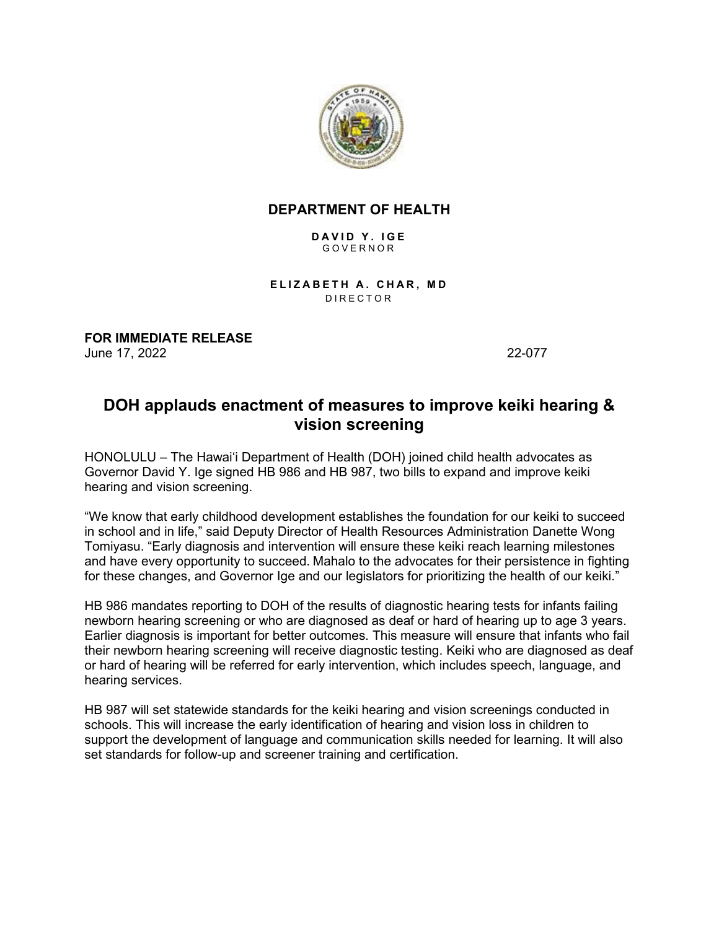

## **DEPARTMENT OF HEALTH**

**DAVID Y. IGE** GOVERNOR

**ELIZABETH A. CHAR, MD** DIRECTOR

**FOR IMMEDIATE RELEASE** June 17, 2022 22-077

## **DOH applauds enactment of measures to improve keiki hearing & vision screening**

HONOLULU – The Hawaiʻi Department of Health (DOH) joined child health advocates as Governor David Y. Ige signed HB 986 and HB 987, two bills to expand and improve keiki hearing and vision screening.

"We know that early childhood development establishes the foundation for our keiki to succeed in school and in life," said Deputy Director of Health Resources Administration Danette Wong Tomiyasu. "Early diagnosis and intervention will ensure these keiki reach learning milestones and have every opportunity to succeed. Mahalo to the advocates for their persistence in fighting for these changes, and Governor lge and our legislators for prioritizing the health of our keiki."

HB 986 mandates reporting to DOH of the results of diagnostic hearing tests for infants failing newborn hearing screening or who are diagnosed as deaf or hard of hearing up to age 3 years. Earlier diagnosis is important for better outcomes. This measure will ensure that infants who fail their newborn hearing screening will receive diagnostic testing. Keiki who are diagnosed as deaf or hard of hearing will be referred for early intervention, which includes speech, language, and hearing services.

HB 987 will set statewide standards for the keiki hearing and vision screenings conducted in schools. This will increase the early identification of hearing and vision loss in children to support the development of language and communication skills needed for learning. It will also set standards for follow-up and screener training and certification.